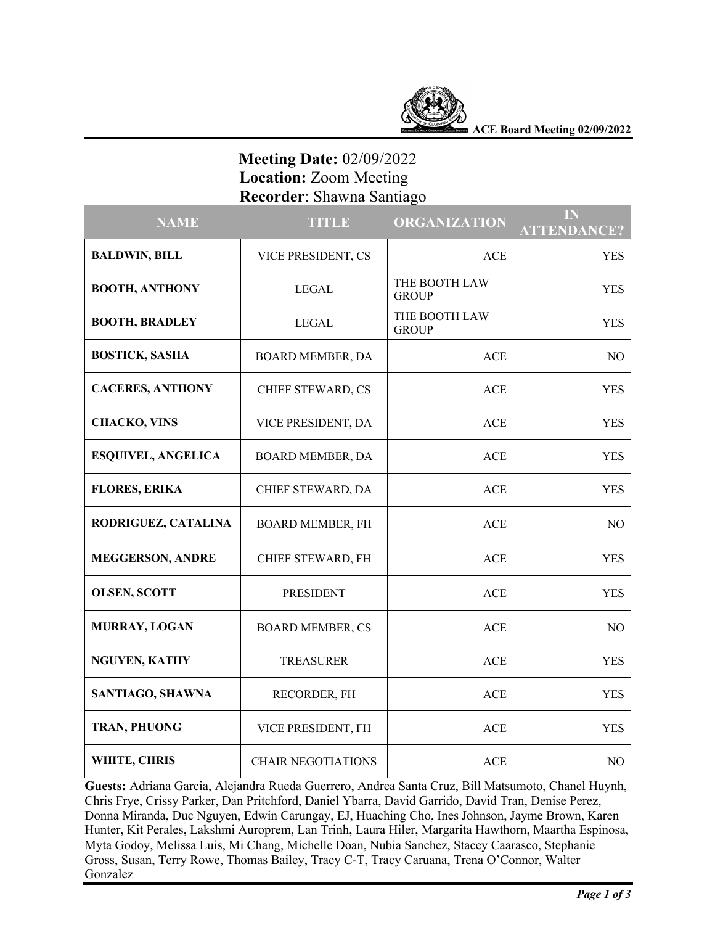

**ACE Board Meeting 02/09/2022**

# **Meeting Date:** 02/09/2022  **Location:** Zoom Meeting  **Recorder**: Shawna Santiago

| <b>NAME</b>               | <b>TITLE</b>              | <b>ORGANIZATION</b>           | IN<br><b>ATTENDANCE?</b> |
|---------------------------|---------------------------|-------------------------------|--------------------------|
| <b>BALDWIN, BILL</b>      | VICE PRESIDENT, CS        | <b>ACE</b>                    | <b>YES</b>               |
| <b>BOOTH, ANTHONY</b>     | <b>LEGAL</b>              | THE BOOTH LAW<br><b>GROUP</b> | YES                      |
| <b>BOOTH, BRADLEY</b>     | LEGAL                     | THE BOOTH LAW<br><b>GROUP</b> | <b>YES</b>               |
| <b>BOSTICK, SASHA</b>     | <b>BOARD MEMBER, DA</b>   | <b>ACE</b>                    | NO                       |
| <b>CACERES, ANTHONY</b>   | CHIEF STEWARD, CS         | <b>ACE</b>                    | <b>YES</b>               |
| <b>CHACKO, VINS</b>       | VICE PRESIDENT, DA        | <b>ACE</b>                    | <b>YES</b>               |
| <b>ESQUIVEL, ANGELICA</b> | <b>BOARD MEMBER, DA</b>   | <b>ACE</b>                    | <b>YES</b>               |
| <b>FLORES, ERIKA</b>      | CHIEF STEWARD, DA         | <b>ACE</b>                    | <b>YES</b>               |
| RODRIGUEZ, CATALINA       | <b>BOARD MEMBER, FH</b>   | <b>ACE</b>                    | NO                       |
| <b>MEGGERSON, ANDRE</b>   | CHIEF STEWARD, FH         | <b>ACE</b>                    | <b>YES</b>               |
| <b>OLSEN, SCOTT</b>       | <b>PRESIDENT</b>          | <b>ACE</b>                    | <b>YES</b>               |
| MURRAY, LOGAN             | <b>BOARD MEMBER, CS</b>   | <b>ACE</b>                    | N <sub>O</sub>           |
| <b>NGUYEN, KATHY</b>      | <b>TREASURER</b>          | <b>ACE</b>                    | <b>YES</b>               |
| SANTIAGO, SHAWNA          | RECORDER, FH              | ACE                           | <b>YES</b>               |
| TRAN, PHUONG              | VICE PRESIDENT, FH        | <b>ACE</b>                    | <b>YES</b>               |
| WHITE, CHRIS              | <b>CHAIR NEGOTIATIONS</b> | <b>ACE</b>                    | N <sub>O</sub>           |

**Guests:** Adriana Garcia, Alejandra Rueda Guerrero, Andrea Santa Cruz, Bill Matsumoto, Chanel Huynh, Chris Frye, Crissy Parker, Dan Pritchford, Daniel Ybarra, David Garrido, David Tran, Denise Perez, Donna Miranda, Duc Nguyen, Edwin Carungay, EJ, Huaching Cho, Ines Johnson, Jayme Brown, Karen Hunter, Kit Perales, Lakshmi Auroprem, Lan Trinh, Laura Hiler, Margarita Hawthorn, Maartha Espinosa, Myta Godoy, Melissa Luis, Mi Chang, Michelle Doan, Nubia Sanchez, Stacey Caarasco, Stephanie Gross, Susan, Terry Rowe, Thomas Bailey, Tracy C-T, Tracy Caruana, Trena O'Connor, Walter Gonzalez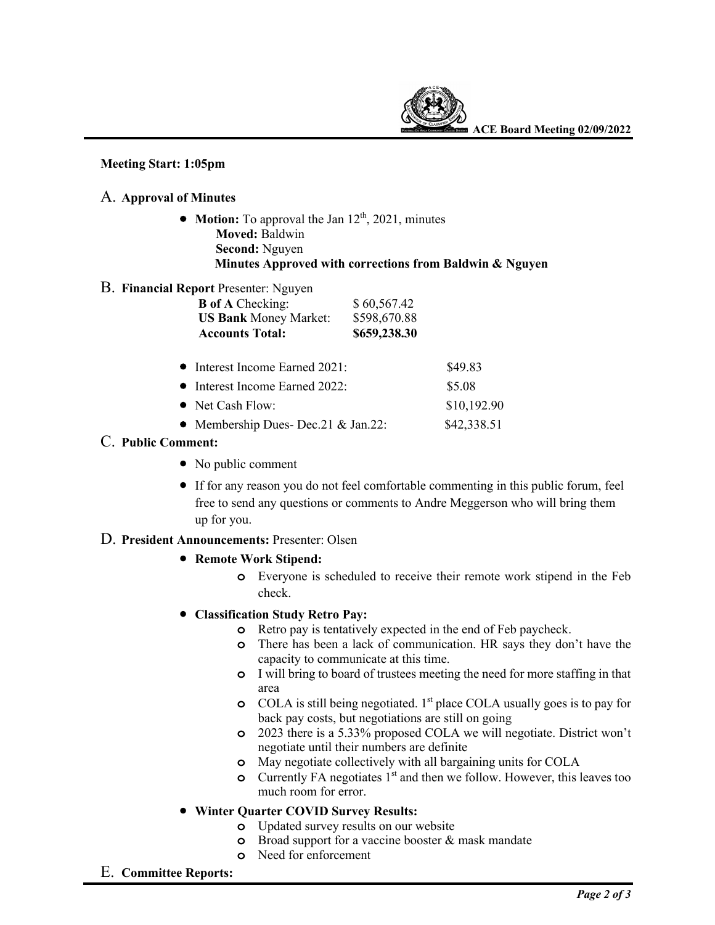

### **Meeting Start: 1:05pm**

### A. **Approval of Minutes**

- **Motion:** To approval the Jan 12<sup>th</sup>, 2021, minutes  **Moved:** Baldwin  **Second:** Nguyen  **Minutes Approved with corrections from Baldwin & Nguyen**
- B. **Financial Report** Presenter: Nguyen

| <b>B</b> of A Checking:<br><b>US Bank Money Market:</b><br><b>Accounts Total:</b> | \$60,567.42<br>\$598,670.88<br>\$659,238.30 |             |
|-----------------------------------------------------------------------------------|---------------------------------------------|-------------|
| $\bullet$ Interest Income Earned 2021:                                            |                                             | \$49.83     |
| • Interest Income Earned 2022:                                                    |                                             | \$5.08      |
| • Net Cash Flow:                                                                  |                                             | \$10,192.90 |
| • Membership Dues- Dec. 21 & Jan. 22:                                             |                                             | \$42,338.51 |

- C. **Public Comment:**
	- No public comment
	- If for any reason you do not feel comfortable commenting in this public forum, feel free to send any questions or comments to Andre Meggerson who will bring them up for you.

# D. **President Announcements:** Presenter: Olsen

- **Remote Work Stipend:** 
	- **o** Everyone is scheduled to receive their remote work stipend in the Feb check.
- **Classification Study Retro Pay:**
	- **o** Retro pay is tentatively expected in the end of Feb paycheck.
	- **o** There has been a lack of communication. HR says they don't have the capacity to communicate at this time.
	- **o** I will bring to board of trustees meeting the need for more staffing in that area
	- **o** COLA is still being negotiated. 1<sup>st</sup> place COLA usually goes is to pay for back pay costs, but negotiations are still on going
	- **o** 2023 there is a 5.33% proposed COLA we will negotiate. District won't negotiate until their numbers are definite
	- **o** May negotiate collectively with all bargaining units for COLA
	- **o** Currently FA negotiates 1<sup>st</sup> and then we follow. However, this leaves too much room for error.

# • **Winter Quarter COVID Survey Results:**

- **o** Updated survey results on our website
- **o** Broad support for a vaccine booster & mask mandate
- **o** Need for enforcement
- E. **Committee Reports:**